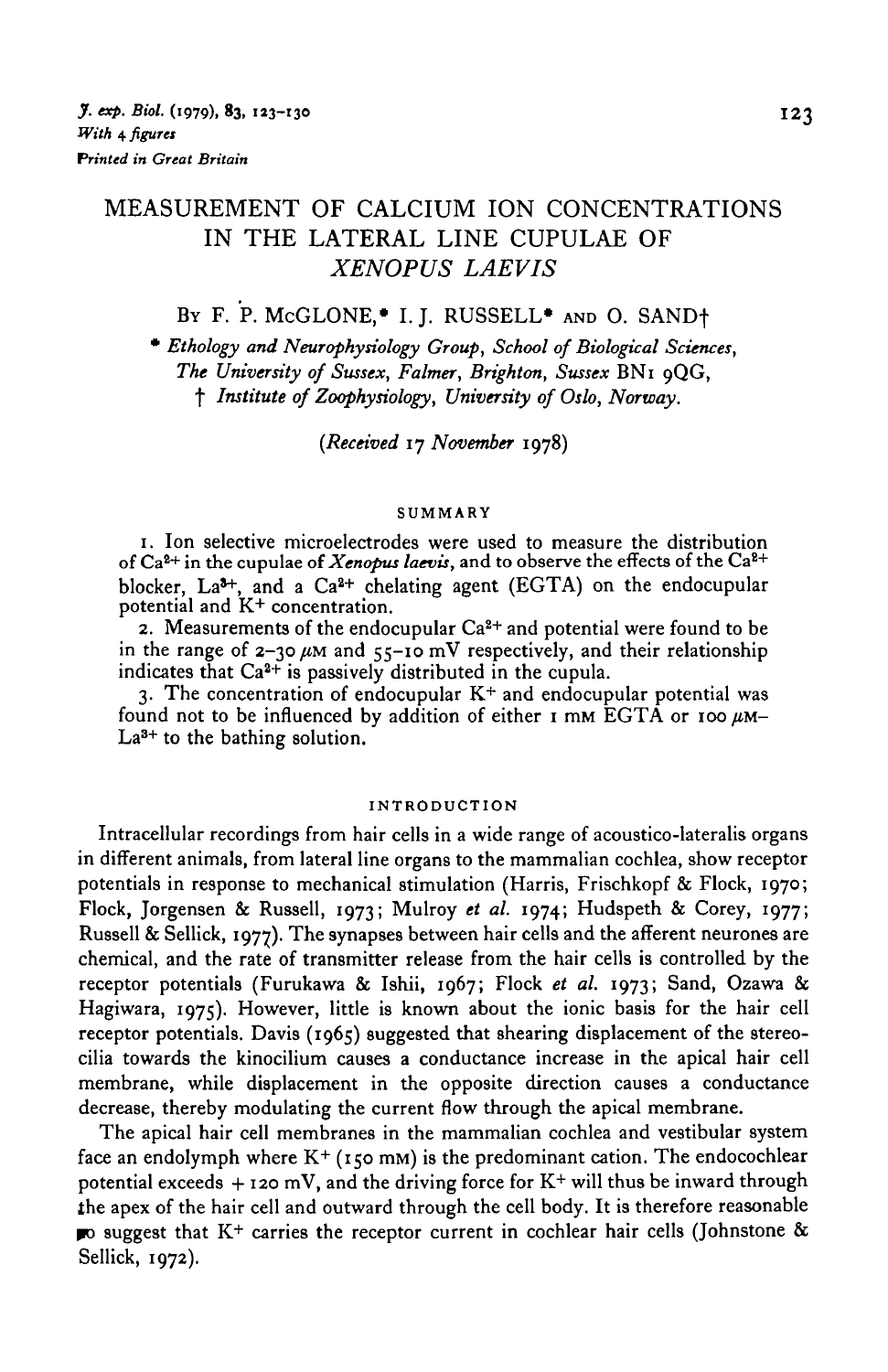## MEASUREMENT OF CALCIUM ION CONCENTRATIONS IN THE LATERAL LINE CUPULAE OF *XENOPUS LAEVIS*

# BY F. P. MCGLONE,\* I. J. RUSSELL\* AND O. SAND+

• *Ethology and Neurophysiology Group, School of Biological Sciences, The University of Sussex, Fainter, Brighton, Sussex* BNi 9QG, f *Institute of Zoophysiology, University of Oslo, Norway.*

*{Received* 17 *November* 1978)

#### **SUMMARY**

1. Ion selective microelectrodes were used to measure the distribution of Ca<sup>2+</sup> in the cupulae of *Xenopus laevis*, and to observe the effects of the Ca<sup>2+</sup> blocker, La<sup>3+</sup>, and a Ca<sup>2+</sup> chelating agent (EGTA) on the endocupular

potential and K+ concentration.<br>2. Measurements of the endocupular Ca<sup>2+</sup> and potential were found to be in the range of  $2-30 \mu M$  and  $55-10 \mu W$  respectively, and their relationship indicates that Ca<sup>2+</sup> is passively distributed in the cupula.

3. The concentration of endocupular  $\mathrm{K}^{+}$  and endocupular potential was found not to be influenced by addition of either  $I$  mm EGTA or 100  $\mu$ M-La<sup>3+</sup> to the bathing solution.

#### **INTRODUCTION**

Intracellular recordings from hair cells in a wide range of acoustico-lateralis organs in different animals, from lateral line organs to the mammalian cochlea, show receptor potentials in response to mechanical stimulation (Harris, Frischkopf & Flock, 1970; Flock, Jorgensen & Russell, 1973; Mulroy *et al.* 1974; Hudspeth & Corey, 1977; Russell & Sellick, 1977). The synapses between hair cells and the afferent neurones are chemical, and the rate of transmitter release from the hair cells is controlled by the receptor potentials (Furukawa & Ishii, 1967; Flock *et al.* 1973; Sand, Ozawa & Hagiwara, 1975). However, little is known about the ionic basis for the hair cell receptor potentials. Davis (1965) suggested that shearing displacement of the stereocilia towards the kinocilium causes a conductance increase in the apical hair cell membrane, while displacement in the opposite direction causes a conductance decrease, thereby modulating the current flow through the apical membrane.

The apical hair cell membranes in the mammalian cochlea and vestibular system face an endolymph where  $K^+$  (150 mM) is the predominant cation. The endocochlear potential exceeds  $+$  120 mV, and the driving force for  $K^+$  will thus be inward through the apex of the hair cell and outward through the cell body. It is therefore reasonable *wo* suggest that K+ carries the receptor current in cochlear hair cells (Johnstone & Sellick, 1972).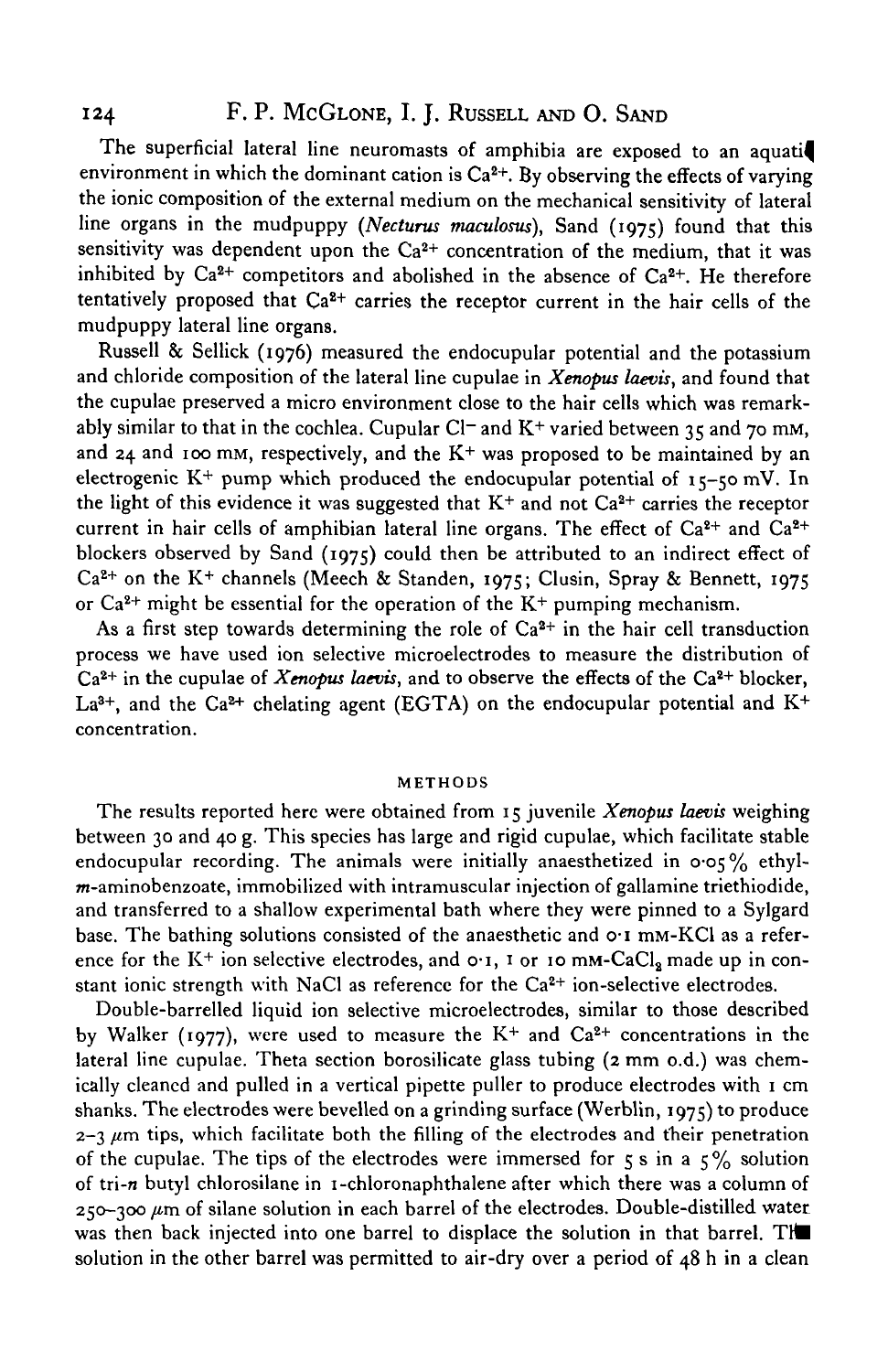## 124 F. P. McGLONE, I. J. RUSSELL AND O. SAND

The superficial lateral line neuromasts of amphibia are exposed to an aquati environment in which the dominant cation is  $Ca^{2+}$ . By observing the effects of varying the ionic composition of the external medium on the mechanical sensitivity of lateral line organs in the mudpuppy *(Necturus maculosus),* Sand (1975) found that this sensitivity was dependent upon the Ca<sup>2+</sup> concentration of the medium, that it was inhibited by  $Ca^{2+}$  competitors and abolished in the absence of  $Ca^{2+}$ . He therefore tentatively proposed that Ca<sup>2+</sup> carries the receptor current in the hair cells of the mudpuppy lateral line organs.

Russell & Sellick (1976) measured the endocupular potential and the potassium and chloride composition of the lateral line cupulae in *Xenopus laevis,* and found that the cupulae preserved a micro environment close to the hair cells which was remarkably similar to that in the cochlea. Cupular Cl<sup>-</sup> and K<sup>+</sup> varied between 35 and 70 mM, and 24 and 100 mm, respectively, and the  $K<sup>+</sup>$  was proposed to be maintained by an electrogenic  $K^+$  pump which produced the endocupular potential of  $15$ -50 mV. In the light of this evidence it was suggested that  $K^+$  and not  $Ca^{2+}$  carries the receptor current in hair cells of amphibian lateral line organs. The effect of  $Ca^{2+}$  and  $Ca^{2+}$ blockers observed by Sand (1975) could then be attributed to an indirect effect of Ca<sup>2+</sup> on the K<sup>+</sup> channels (Meech & Standen, 1975; Clusin, Spray & Bennett, 1975 or  $Ca^{2+}$  might be essential for the operation of the  $K^+$  pumping mechanism.

As a first step towards determining the role of  $Ca<sup>2+</sup>$  in the hair cell transduction process we have used ion selective microelectrodes to measure the distribution of Ca<sup>2+</sup> in the cupulae of *Xenopus laevis*, and to observe the effects of the Ca<sup>2+</sup> blocker, La<sup>3+</sup>, and the Ca<sup>2+</sup> chelating agent (EGTA) on the endocupular potential and K<sup>+</sup> concentration.

#### METHODS

The results reported here were obtained from 15 juvenile *Xenopus laevis* weighing between 30 and 40 g. This species has large and rigid cupulae, which facilitate stable endocupular recording. The animals were initially anaesthetized in  $0.05\%$  ethyl-*-aminobenzoate, immobilized with intramuscular injection of gallamine triethiodide,* and transferred to a shallow experimental bath where they were pinned to a Sylgard base. The bathing solutions consisted of the anaesthetic and o-i mM-KCl as a reference for the  $K^+$  ion selective electrodes, and  $o \cdot i$ ,  $i$  or  $i$  o mM-CaCl<sub>a</sub> made up in constant ionic strength with NaCl as reference for the Ca<sup>2+</sup> ion-selective electrodes.

Double-barrelled liquid ion selective microelectrodes, similar to those described by Walker (1977), were used to measure the  $K^+$  and  $Ca^{2+}$  concentrations in the lateral line cupulae. Theta section borosilicate glass tubing (2 mm o.d.) was chemically cleaned and pulled in a vertical pipette puller to produce electrodes with 1 cm shanks. The electrodes were bevelled on a grinding surface (Werblin, 1975) to produce  $2-3 \mu m$  tips, which facilitate both the filling of the electrodes and their penetration of the cupulae. The tips of the electrodes were immersed for  $\zeta$  s in a  $\zeta$ % solution of tri-n butyl chlorosilane in i-chloronaphthalene after which there was a column of 250-300 */im* of silane solution in each barrel of the electrodes. Double-distilled water was then back injected into one barrel to displace the solution in that barrel. The solution in the other barrel was permitted to air-dry over a period of 48 h in a clean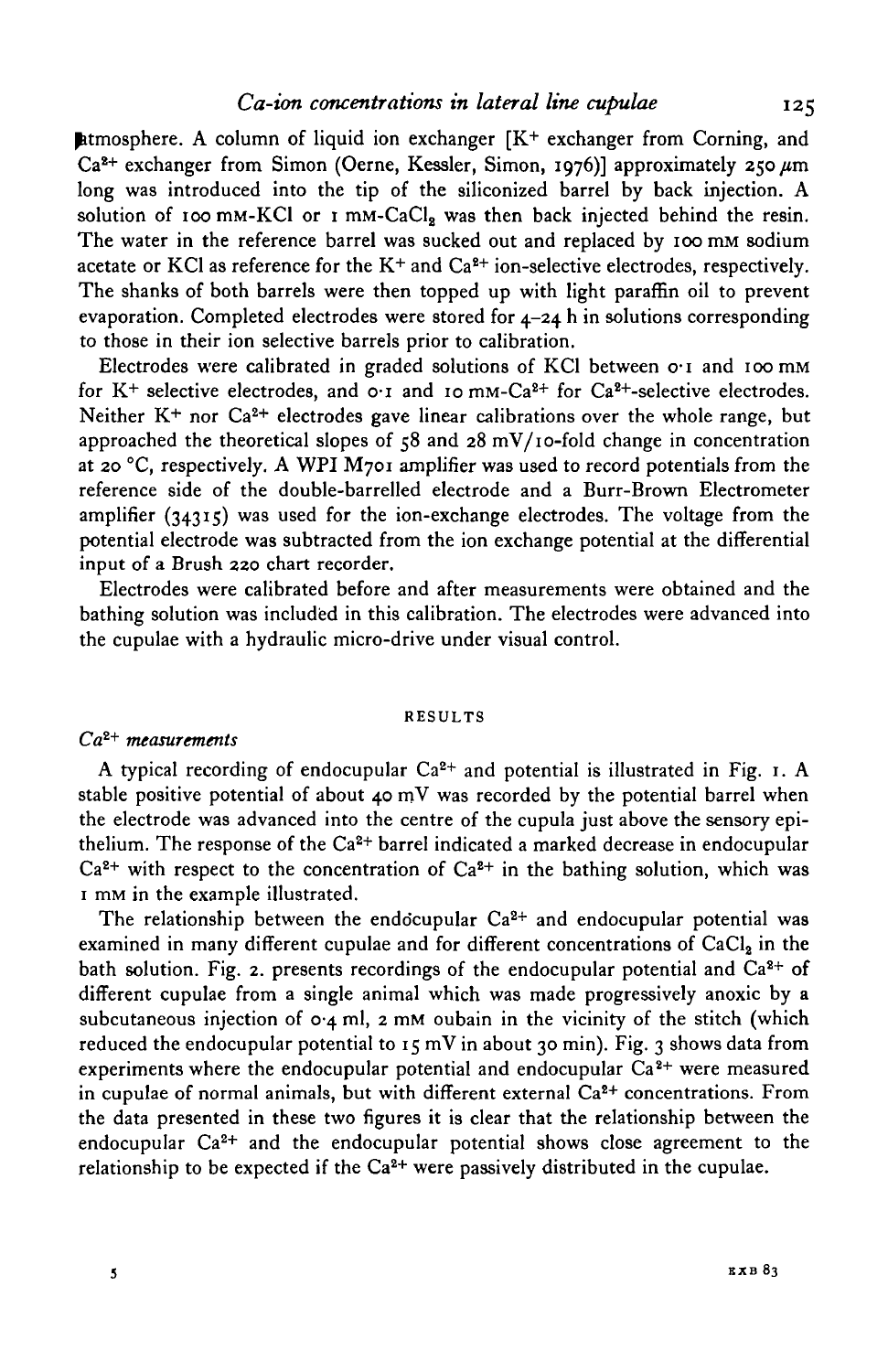**Example 1** atmosphere. A column of liquid ion exchanger  $[K^+$  exchanger from Corning, and  $Ca<sup>2+</sup>$  exchanger from Simon (Oerne, Kessler, Simon, 1976)] approximately 250  $\mu$ m long was introduced into the tip of the siliconized barrel by back injection. A solution of 100 mM-KCl or 1 mM-CaCl, was then back injected behind the resin. The water in the reference barrel was sucked out and replaced by 100 mM sodium acetate or KCl as reference for the  $K^+$  and  $Ca^{2+}$  ion-selective electrodes, respectively. The shanks of both barrels were then topped up with light paraffin oil to prevent evaporation. Completed electrodes were stored for 4-24 h in solutions corresponding to those in their ion selective barrels prior to calibration.

Electrodes were calibrated in graded solutions of KCl between  $o<sub>1</sub>$  and 100 mm for K<sup>+</sup> selective electrodes, and  $o \cdot i$  and 10 mm-Ca<sup>2+</sup> for Ca<sup>2+</sup>-selective electrodes. Neither K<sup>+</sup> nor Ca<sup>2+</sup> electrodes gave linear calibrations over the whole range, but approached the theoretical slopes of  $58$  and  $28$  mV/10-fold change in concentration at 20 °C, respectively. A WPI M701 amplifier was used to record potentials from the reference side of the double-barrelled electrode and a Burr-Brown Electrometer amplifier (34315) was used for the ion-exchange electrodes. The voltage from the potential electrode was subtracted from the ion exchange potential at the differential input of a Brush 220 chart recorder.

Electrodes were calibrated before and after measurements were obtained and the bathing solution was included in this calibration. The electrodes were advanced into the cupulae with a hydraulic micro-drive under visual control.

#### **RESULTS**

#### *Cai+ measurements*

A typical recording of endocupular Ca<sup>2+</sup> and potential is illustrated in Fig. 1. A stable positive potential of about 40 mV was recorded by the potential barrel when the electrode was advanced into the centre of the cupula just above the sensory epithelium. The response of the Ca<sup>2+</sup> barrel indicated a marked decrease in endocupular  $Ca<sup>2+</sup>$  with respect to the concentration of  $Ca<sup>2+</sup>$  in the bathing solution, which was 1 mM in the example illustrated.

The relationship between the endocupular  $Ca^{2+}$  and endocupular potential was examined in many different cupulae and for different concentrations of  $CaCl<sub>2</sub>$  in the bath solution. Fig. 2. presents recordings of the endocupular potential and  $Ca^{2+}$  of different cupulae from a single animal which was made progressively anoxic by a subcutaneous injection of  $O_4$  ml, 2 mM oubain in the vicinity of the stitch (which reduced the endocupular potential to  $15 \text{ mV}$  in about 30 min). Fig. 3 shows data from experiments where the endocupular potential and endocupular  $\tilde{Ca}^{2+}$  were measured in cupulae of normal animals, but with different external Ca<sup>2+</sup> concentrations. From the data presented in these two figures it is clear that the relationship between the endocupular Ca2+ and the endocupular potential shows close agreement to the relationship to be expected if the  $Ca^{2+}$  were passively distributed in the cupulae.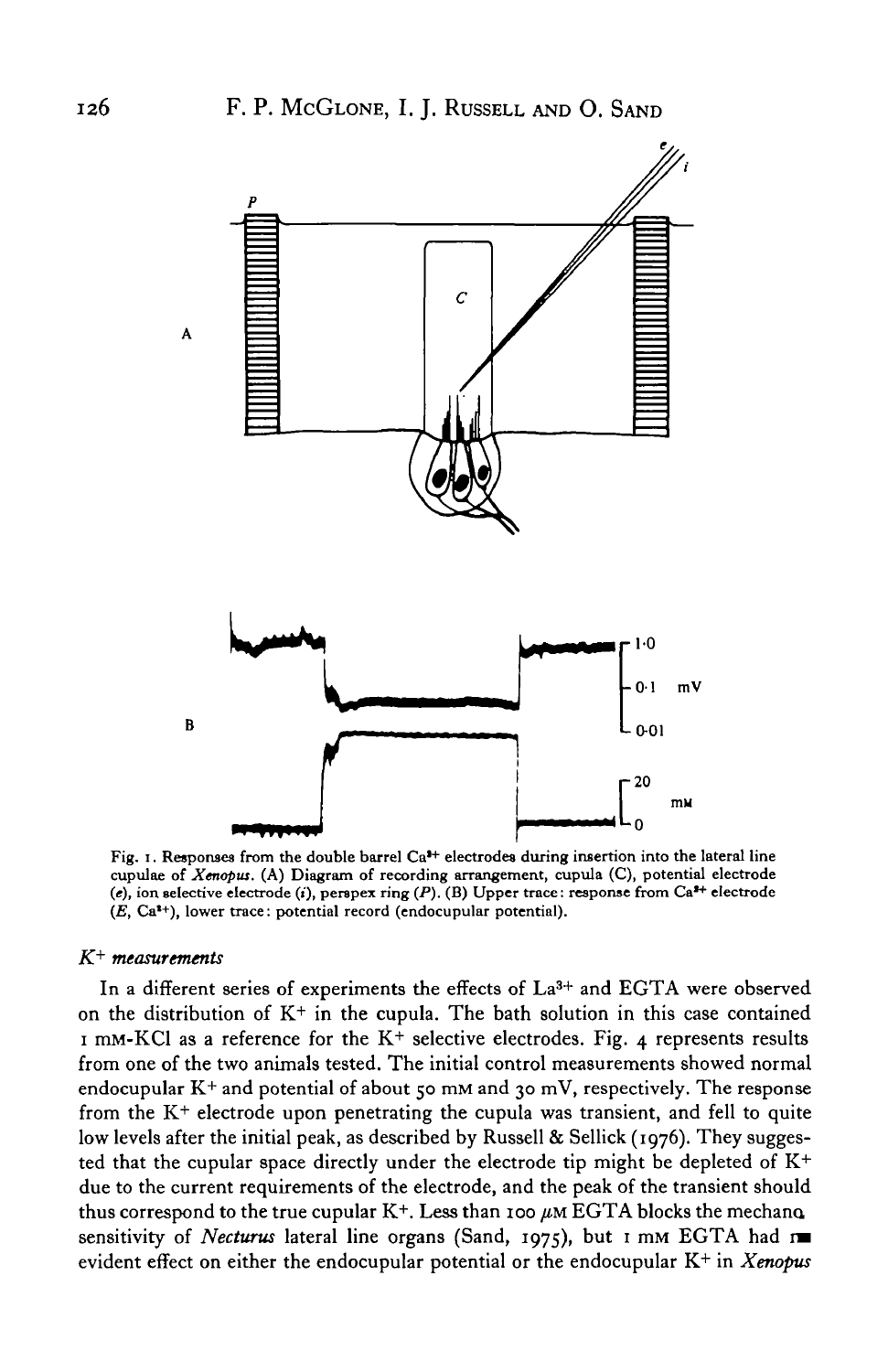

Fig. 1. Responses from the double barrel  $Ca<sup>3+</sup>$  electrodes during insertion into the lateral line cupulae of *Xenopus.* (A) Diagram of recording arrangement, cupula (C), potential electrode (e), ion selective electrode (i), perspex ring (P). (B) Upper trace: response from Ca<sup>2+</sup> electrode *(E, Ca*<sup> $*$ +</sup>), lower trace: potential record (endocupular potential).

### $K^+$  measurements

In a different series of experiments the effects of La<sup>3+</sup> and EGTA were observed on the distribution of  $K^+$  in the cupula. The bath solution in this case contained  $I$  mM-KCl as a reference for the K<sup>+</sup> selective electrodes. Fig. 4 represents results from one of the two animals tested. The initial control measurements showed normal endocupular  $K^+$  and potential of about 50 mM and 30 mV, respectively. The response from the K<sup>+</sup> electrode upon penetrating the cupula was transient, and fell to quite low levels after the initial peak, as described by Russell & Sellick (1976). They suggested that the cupular space directly under the electrode tip might be depleted of K+ due to the current requirements of the electrode, and the peak of the transient should thus correspond to the true cupular  $K^+$ . Less than 100  $\mu$ M EGTA blocks the mechano sensitivity of *Necturus* lateral line organs (Sand, 1975), but 1 mM EGTA had *vm* evident effect on either the endocupular potential or the endocupular K+ in *Xenoptis*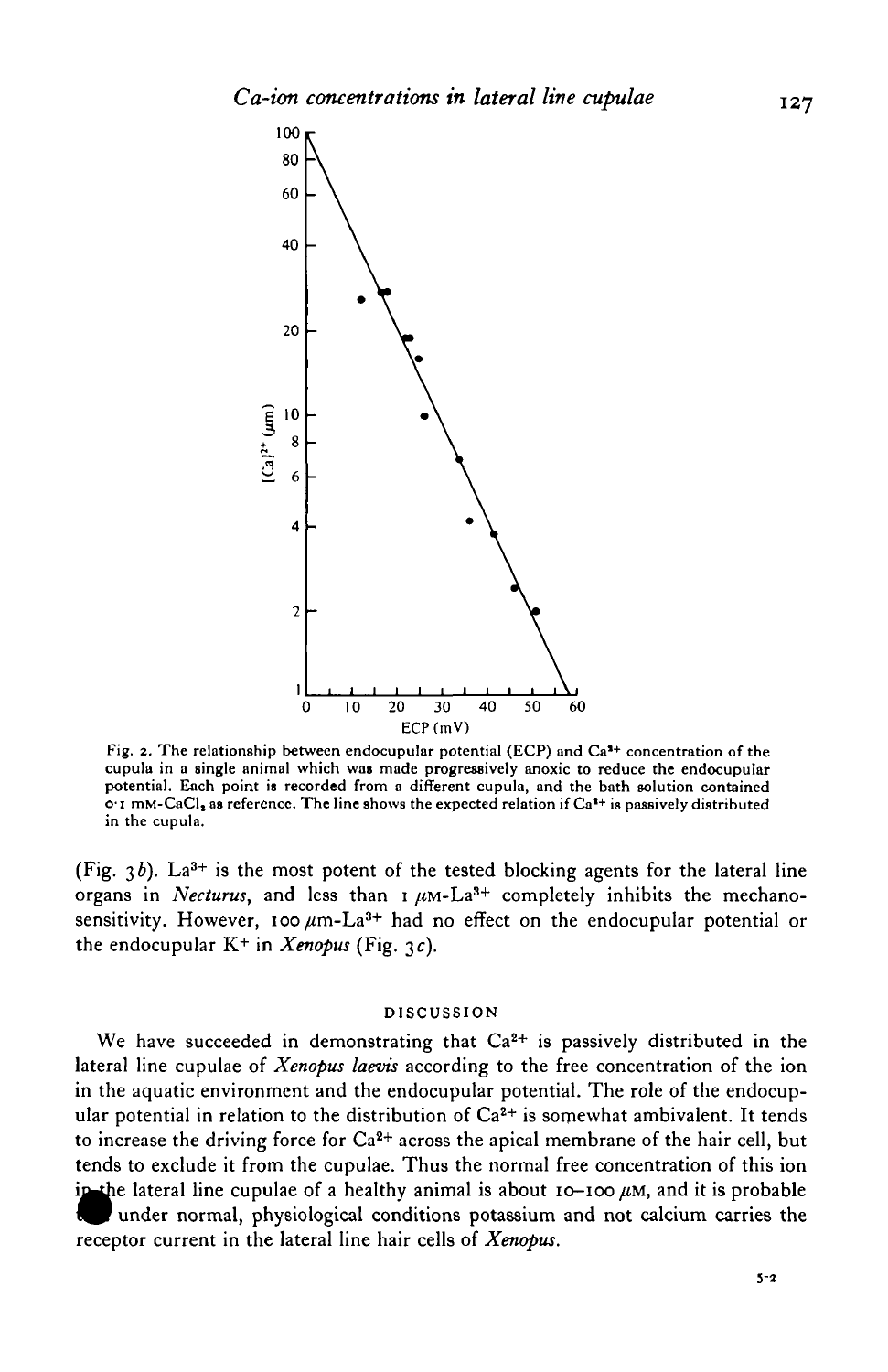

Fig. 2. The relationship between endocupular potential (ECP) and  $Ca<sup>3+</sup>$  concentration of the cupula in a single animal which was made progressively anoxic to reduce the endocupular<br>potential. Each point is recorded from a different cupula, and the bath solution contained  $\sigma$ <sup>1</sup> mm-CaCl<sub>2</sub> as reference. The line shows the expected relation if  $Ca^{2+}$  is passively distributed in the cupula.

(Fig.  $3b$ ).  $La^{3+}$  is the most potent of the tested blocking agents for the lateral line organs in *Necturus*, and less than  $1 \mu M - La^{3+}$  completely inhibits the mechanosensitivity. However, 100  $\mu$ m-La<sup>3+</sup> had no effect on the endocupular potential or the endocupular  $K^+$  in *Xenopus* (Fig. 3c).

#### DISCUSSION

We have succeeded in demonstrating that  $Ca<sup>2+</sup>$  is passively distributed in the lateral line cupulae of *Xenopus laevis* according to the free concentration of the ion in the aquatic environment and the endocupular potential. The role of the endocupular potential in relation to the distribution of  $Ca^{2+}$  is somewhat ambivalent. It tends to increase the driving force for  $Ca^{2+}$  across the apical membrane of the hair cell, but tends to exclude it from the cupulae. Thus the normal free concentration of this ion in the lateral line cupulae of a healthy animal is about  $I_0$ - $I_0$   $\mu$ M, and it is probable under normal, physiological conditions potassium and not calcium carries the receptor current in the lateral line hair cells of *Xenopus.*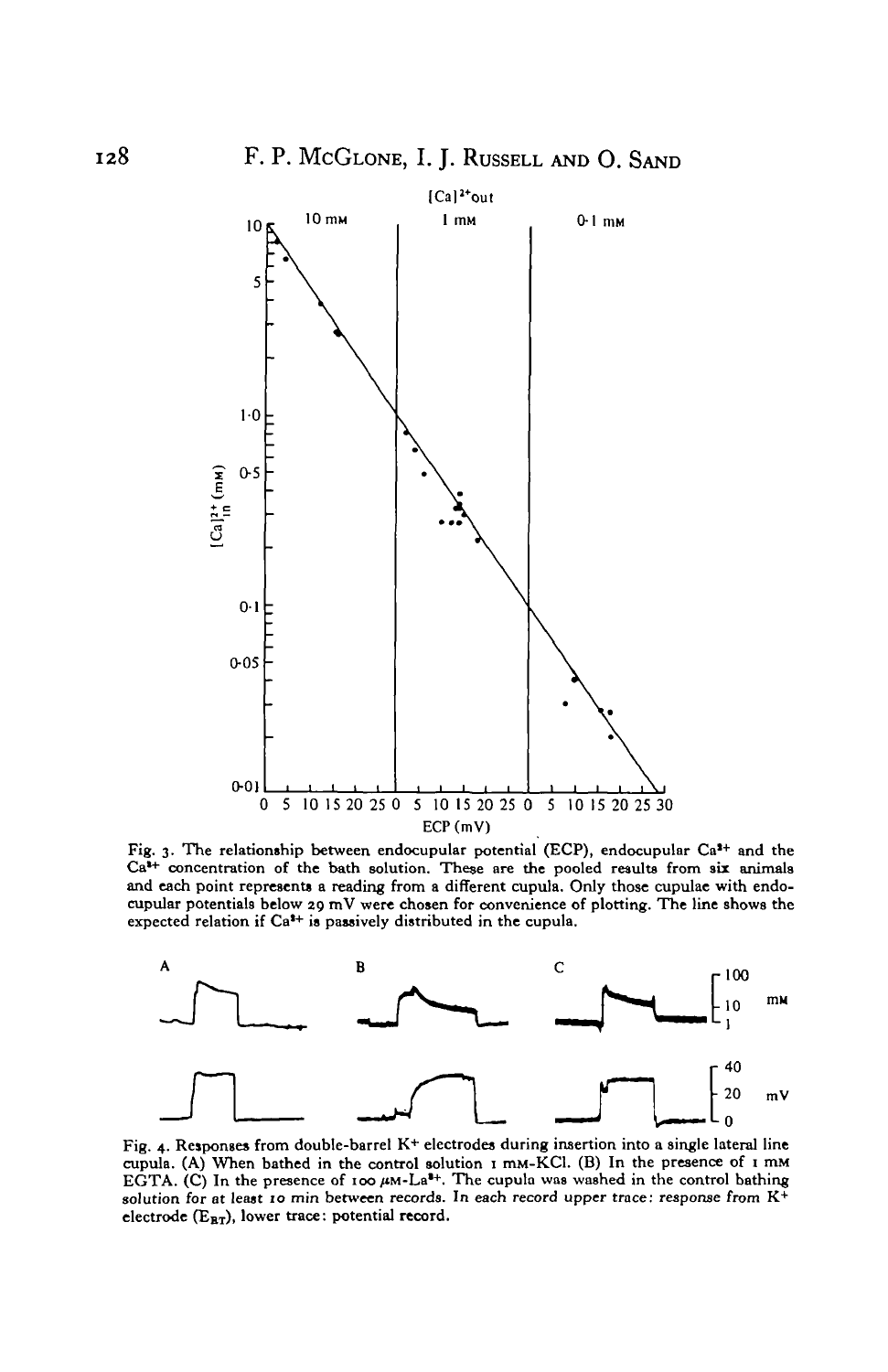

Fig. 3. The relationship between endocupular potential (ECP), endocupular  $Ca<sup>3+</sup>$  and the  $Ca^{4+}$  concentration of the bath solution. These are the pooled results from six animals and each point represents a reading from a different cupula. Only those cupulae with endocupular potentials below 29 mV were chosen



Fig. 4. Responses from double-barrel K+ electrodes during insertion into a single lateral line Fig. 4. Responses from double-barrel K+ electrodes during insertion into a single lateral line<br>cupula. (A) When bathed in the control solution 1 mM-KCl. (B) In the presence of 1 mM EGTA. (C) In the presence of 100  $\mu$ M-La<sup>t+</sup>. The cupula was washed in the control bathing solution for at least 10 min between records. In each record upper trace: response from  $K^+$ electrode  $(E_{BT})$ , lower trace: potential record.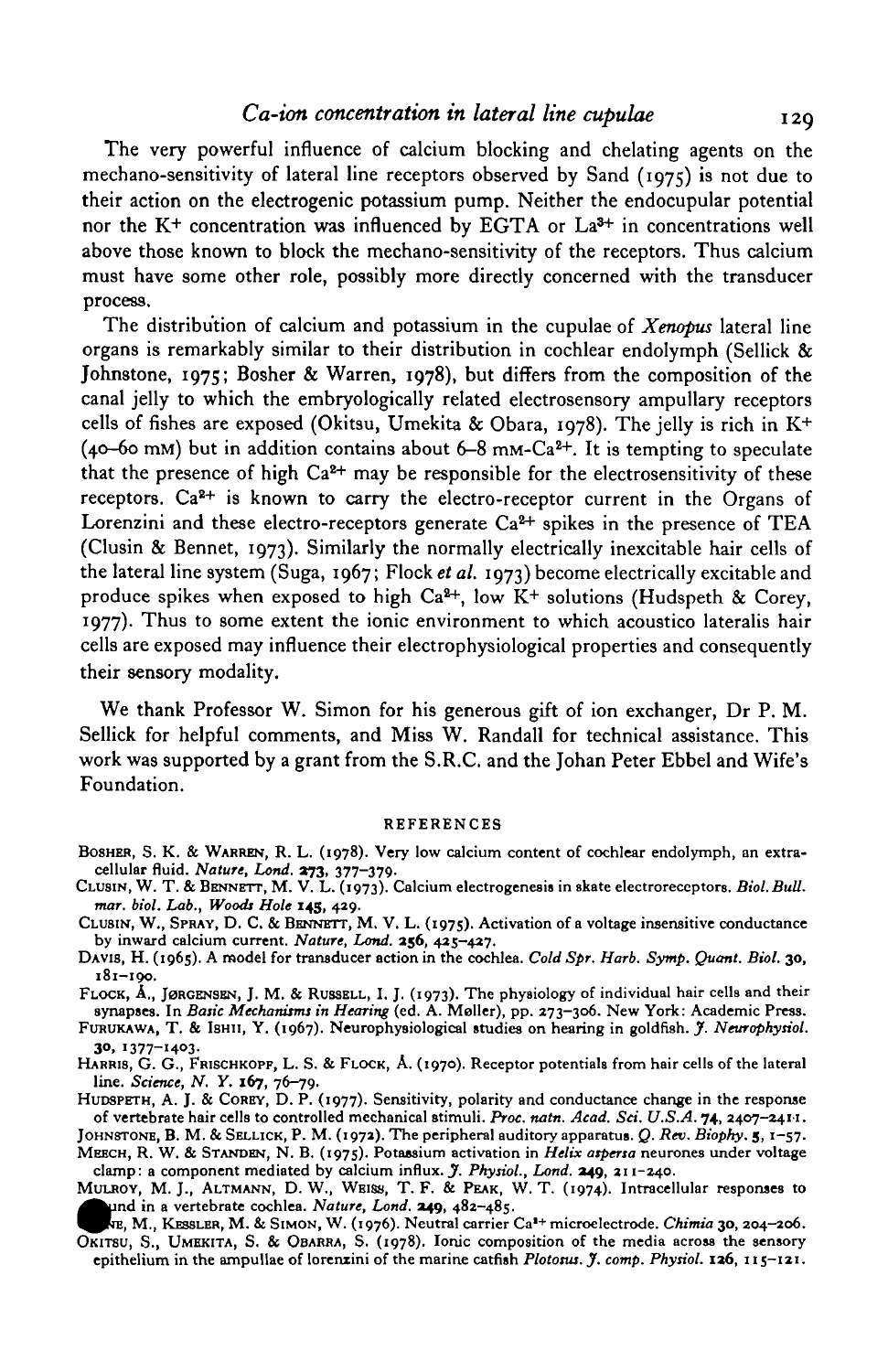The very powerful influence of calcium blocking and chelating agents on the mechano-sensitivity of lateral line receptors observed by Sand (1975) is not due to their action on the electrogenic potassium pump. Neither the endocupular potential nor the  $K^+$  concentration was influenced by EGTA or La<sup>3+</sup> in concentrations well above those known to block the mechano-sensitivity of the receptors. Thus calcium must have some other role, possibly more directly concerned with the transducer process.

The distribution of calcium and potassium in the cupulae of *Xenopus* lateral line organs is remarkably similar to their distribution in cochlear endolymph (Sellick  $\&$ Johnstone, 1975; Bosher & Warren, 1978), but differs from the composition of the canal jelly to which the embryologically related electrosensory ampullary receptors cells of fishes are exposed (Okitsu, Umekita & Obara, 1978). The jelly is rich in K+ (40–60 mM) but in addition contains about 6–8 mM-Ca<sup>2+</sup>. It is tempting to speculate that the presence of high Ca<sup>2+</sup> may be responsible for the electrosensitivity of these receptors.  $Ca<sup>2+</sup>$  is known to carry the electro-receptor current in the Organs of Lorenzini and these electro-receptors generate  $Ca^{2+}$  spikes in the presence of TEA (Clusin & Bennet, 1973). Similarly the normally electrically inexcitable hair cells of the lateral line system (Suga, 1967; Flock *et al.* 1973) become electrically excitable and produce spikes when exposed to high Ca<sup>2+</sup>, low K<sup>+</sup> solutions (Hudspeth & Corey, 1977). Thus to some extent the ionic environment to which acoustico lateralis hair cells are exposed may influence their electrophysiological properties and consequently their sensory modality.

We thank Professor W. Simon for his generous gift of ion exchanger, Dr P. M. Sellick for helpful comments, and Miss W. Randall for technical assistance. This work was supported by a grant from the S.R.C. and the Johan Peter Ebbel and Wife's Foundation.

#### **REFERENCES**

- BOSHER, S. K. & WARREN, R. L. (1978). Very low calcium content of cochlear endolymph, an extra-<br>cellular fluid. Nature, Lond. 273, 377-379.<br>CLUSIN, W. T. & BENNETT, M. V. L. (1973). Calcium electrogenesis in skate electror
- 
- CLUSIN, W., SPRAY, D. C. & BENNETT, M. V. L. (1975). Activation of a voltage insensitive conductance<br>by inward calcium current. Nature, Lond. 256, 425-427.<br>DAVIS, H. (1965). A model for transducer action in the cochlea. Co
- **181-190.**
- FLOCK, A., JØRGENSEN, J. M. & RUSSELL, I. J. (1973). The physiology of individual hair cells and their<br>synapses. In Basic Mechanisms in Hearing (ed. A. Møller), pp. 273-306. New York: Academic Press.<br>FURUKAWA, T. & ISHII,
- 
- **30, 1377-1403.** HARRIS, G. G., FRISCHKOPF, L. S. & FLOCK, A. (1970). Receptor potentials from hair cells of the lateral

HUDSPETH, A. J. & COREY, D. P. (1977). Sensitivity, polarity and conductance change in the response<br>of vertebrate hair cells to controlled mechanical stimuli. Proc. natn. Acad. Sci. U.S.A. 74, 2407-2411.<br>JOHNSTONE, B. M. &

- 
- clamp: a component mediated by calcium influx. J. Physiol., Lond. 249, 211-240.<br>MULROY, M. J., ALTMANN, D. W., WEISS, T. F. & PEAK, W. T. (1974). Intracellular responses to
- und in a vertebrate cochlea. Nature, Lond. 249, 482-485.<br>RE, M., KESSLER, M. & SIMON, W. (1976). Neutral carrier Ca<sup>1+</sup> microelectrode. Chimia 30, 204-206.
- OKITSU, S., UMEKITA, S. & OBARRA, S. (1978). Ionic composition of the media across the sensory epithelium in the ampullae of lorenzini of the marine catfish *Plotosus. J. comp. Physiol.* **136,** 115—121.